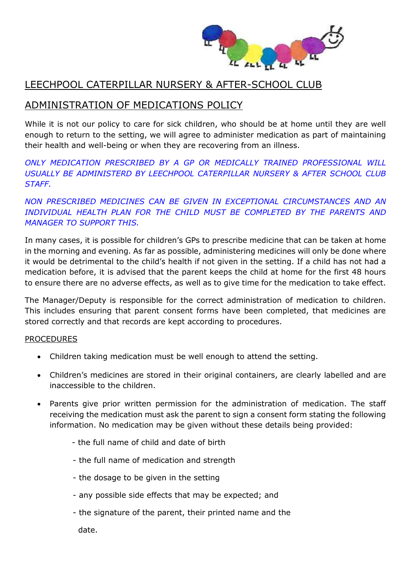

## LEECHPOOL CATERPILLAR NURSERY & AFTER-SCHOOL CLUB

# ADMINISTRATION OF MEDICATIONS POLICY

While it is not our policy to care for sick children, who should be at home until they are well enough to return to the setting, we will agree to administer medication as part of maintaining their health and well-being or when they are recovering from an illness.

*ONLY MEDICATION PRESCRIBED BY A GP OR MEDICALLY TRAINED PROFESSIONAL WILL USUALLY BE ADMINISTERD BY LEECHPOOL CATERPILLAR NURSERY & AFTER SCHOOL CLUB STAFF.*

*NON PRESCRIBED MEDICINES CAN BE GIVEN IN EXCEPTIONAL CIRCUMSTANCES AND AN*  INDIVIDUAL HEALTH PLAN FOR THE CHILD MUST BE COMPLETED BY THE PARENTS AND *MANAGER TO SUPPORT THIS.*

In many cases, it is possible for children's GPs to prescribe medicine that can be taken at home in the morning and evening. As far as possible, administering medicines will only be done where it would be detrimental to the child's health if not given in the setting. If a child has not had a medication before, it is advised that the parent keeps the child at home for the first 48 hours to ensure there are no adverse effects, as well as to give time for the medication to take effect.

The Manager/Deputy is responsible for the correct administration of medication to children. This includes ensuring that parent consent forms have been completed, that medicines are stored correctly and that records are kept according to procedures.

#### PROCEDURES

- Children taking medication must be well enough to attend the setting.
- Children's medicines are stored in their original containers, are clearly labelled and are inaccessible to the children.
- Parents give prior written permission for the administration of medication. The staff receiving the medication must ask the parent to sign a consent form stating the following information. No medication may be given without these details being provided:
	- the full name of child and date of birth
	- the full name of medication and strength
	- the dosage to be given in the setting
	- any possible side effects that may be expected; and
	- the signature of the parent, their printed name and the

date.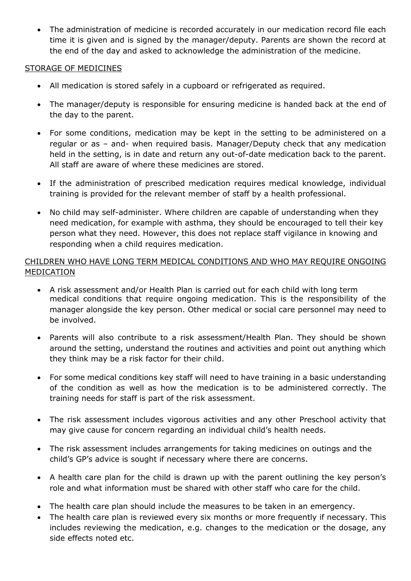The administration of medicine is recorded accurately in our medication record file each time it is given and is signed by the manager/deputy. Parents are shown the record at the end of the day and asked to acknowledge the administration of the medicine.

#### STORAGE OF MEDICINES

- All medication is stored safely in a cupboard or refrigerated as required.
- The manager/deputy is responsible for ensuring medicine is handed back at the end of the day to the parent.
- For some conditions, medication may be kept in the setting to be administered on a regular or as – and- when required basis. Manager/Deputy check that any medication held in the setting, is in date and return any out-of-date medication back to the parent. All staff are aware of where these medicines are stored.
- If the administration of prescribed medication requires medical knowledge, individual training is provided for the relevant member of staff by a health professional.
- No child may self-administer. Where children are capable of understanding when they need medication, for example with asthma, they should be encouraged to tell their key person what they need. However, this does not replace staff vigilance in knowing and responding when a child requires medication.

### CHILDREN WHO HAVE LONG TERM MEDICAL CONDITIONS AND WHO MAY REQUIRE ONGOING MEDICATION

- A risk assessment and/or Health Plan is carried out for each child with long term medical conditions that require ongoing medication. This is the responsibility of the manager alongside the key person. Other medical or social care personnel may need to be involved.
- Parents will also contribute to a risk assessment/Health Plan. They should be shown around the setting, understand the routines and activities and point out anything which they think may be a risk factor for their child.
- For some medical conditions key staff will need to have training in a basic understanding of the condition as well as how the medication is to be administered correctly. The training needs for staff is part of the risk assessment.
- The risk assessment includes vigorous activities and any other Preschool activity that may give cause for concern regarding an individual child's health needs.
- The risk assessment includes arrangements for taking medicines on outings and the child's GP's advice is sought if necessary where there are concerns.
- A health care plan for the child is drawn up with the parent outlining the key person's role and what information must be shared with other staff who care for the child.
- The health care plan should include the measures to be taken in an emergency.
- The health care plan is reviewed every six months or more frequently if necessary. This includes reviewing the medication, e.g. changes to the medication or the dosage, any side effects noted etc.